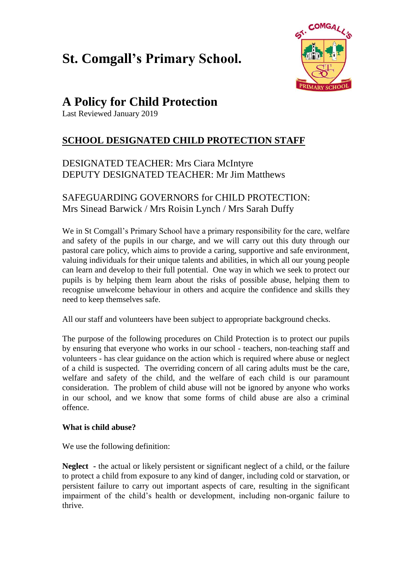# **St. Comgall's Primary School.**



## **A Policy for Child Protection**

Last Reviewed January 2019

## **SCHOOL DESIGNATED CHILD PROTECTION STAFF**

## DESIGNATED TEACHER: Mrs Ciara McIntyre DEPUTY DESIGNATED TEACHER: Mr Jim Matthews

## SAFEGUARDING GOVERNORS for CHILD PROTECTION: Mrs Sinead Barwick / Mrs Roisin Lynch / Mrs Sarah Duffy

We in St Comgall's Primary School have a primary responsibility for the care, welfare and safety of the pupils in our charge, and we will carry out this duty through our pastoral care policy, which aims to provide a caring, supportive and safe environment, valuing individuals for their unique talents and abilities, in which all our young people can learn and develop to their full potential. One way in which we seek to protect our pupils is by helping them learn about the risks of possible abuse, helping them to recognise unwelcome behaviour in others and acquire the confidence and skills they need to keep themselves safe.

All our staff and volunteers have been subject to appropriate background checks.

The purpose of the following procedures on Child Protection is to protect our pupils by ensuring that everyone who works in our school - teachers, non-teaching staff and volunteers - has clear guidance on the action which is required where abuse or neglect of a child is suspected. The overriding concern of all caring adults must be the care, welfare and safety of the child, and the welfare of each child is our paramount consideration. The problem of child abuse will not be ignored by anyone who works in our school, and we know that some forms of child abuse are also a criminal offence.

#### **What is child abuse?**

We use the following definition:

**Neglect -** the actual or likely persistent or significant neglect of a child, or the failure to protect a child from exposure to any kind of danger, including cold or starvation, or persistent failure to carry out important aspects of care, resulting in the significant impairment of the child's health or development, including non-organic failure to thrive.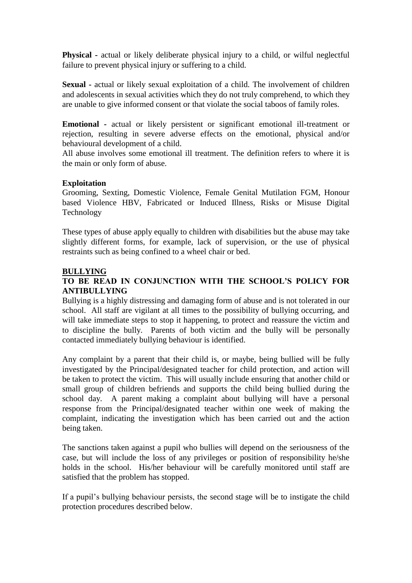**Physical -** actual or likely deliberate physical injury to a child, or wilful neglectful failure to prevent physical injury or suffering to a child.

**Sexual -** actual or likely sexual exploitation of a child. The involvement of children and adolescents in sexual activities which they do not truly comprehend, to which they are unable to give informed consent or that violate the social taboos of family roles.

**Emotional -** actual or likely persistent or significant emotional ill-treatment or rejection, resulting in severe adverse effects on the emotional, physical and/or behavioural development of a child.

All abuse involves some emotional ill treatment. The definition refers to where it is the main or only form of abuse.

#### **Exploitation**

Grooming, Sexting, Domestic Violence, Female Genital Mutilation FGM, Honour based Violence HBV, Fabricated or Induced Illness, Risks or Misuse Digital Technology

These types of abuse apply equally to children with disabilities but the abuse may take slightly different forms, for example, lack of supervision, or the use of physical restraints such as being confined to a wheel chair or bed.

#### **BULLYING**

#### **TO BE READ IN CONJUNCTION WITH THE SCHOOL'S POLICY FOR ANTIBULLYING**

Bullying is a highly distressing and damaging form of abuse and is not tolerated in our school. All staff are vigilant at all times to the possibility of bullying occurring, and will take immediate steps to stop it happening, to protect and reassure the victim and to discipline the bully. Parents of both victim and the bully will be personally contacted immediately bullying behaviour is identified.

Any complaint by a parent that their child is, or maybe, being bullied will be fully investigated by the Principal/designated teacher for child protection, and action will be taken to protect the victim. This will usually include ensuring that another child or small group of children befriends and supports the child being bullied during the school day. A parent making a complaint about bullying will have a personal response from the Principal/designated teacher within one week of making the complaint, indicating the investigation which has been carried out and the action being taken.

The sanctions taken against a pupil who bullies will depend on the seriousness of the case, but will include the loss of any privileges or position of responsibility he/she holds in the school. His/her behaviour will be carefully monitored until staff are satisfied that the problem has stopped.

If a pupil's bullying behaviour persists, the second stage will be to instigate the child protection procedures described below.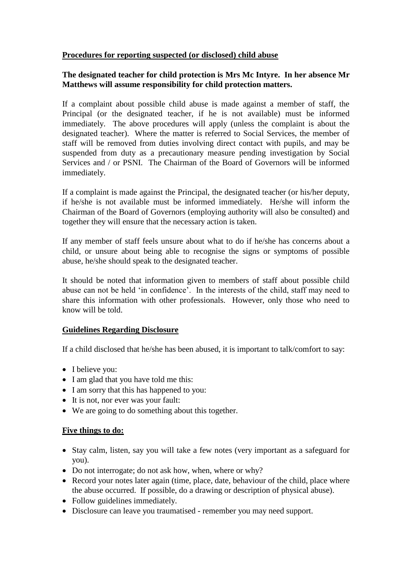#### **Procedures for reporting suspected (or disclosed) child abuse**

#### **The designated teacher for child protection is Mrs Mc Intyre. In her absence Mr Matthews will assume responsibility for child protection matters.**

If a complaint about possible child abuse is made against a member of staff, the Principal (or the designated teacher, if he is not available) must be informed immediately. The above procedures will apply (unless the complaint is about the designated teacher). Where the matter is referred to Social Services, the member of staff will be removed from duties involving direct contact with pupils, and may be suspended from duty as a precautionary measure pending investigation by Social Services and / or PSNI. The Chairman of the Board of Governors will be informed immediately.

If a complaint is made against the Principal, the designated teacher (or his/her deputy, if he/she is not available must be informed immediately. He/she will inform the Chairman of the Board of Governors (employing authority will also be consulted) and together they will ensure that the necessary action is taken.

If any member of staff feels unsure about what to do if he/she has concerns about a child, or unsure about being able to recognise the signs or symptoms of possible abuse, he/she should speak to the designated teacher.

It should be noted that information given to members of staff about possible child abuse can not be held 'in confidence'. In the interests of the child, staff may need to share this information with other professionals. However, only those who need to know will be told.

#### **Guidelines Regarding Disclosure**

If a child disclosed that he/she has been abused, it is important to talk/comfort to say:

- I believe you:
- I am glad that you have told me this:
- I am sorry that this has happened to you:
- It is not, nor ever was your fault:
- We are going to do something about this together.

#### **Five things to do:**

- Stay calm, listen, say you will take a few notes (very important as a safeguard for you).
- Do not interrogate; do not ask how, when, where or why?
- Record your notes later again (time, place, date, behaviour of the child, place where the abuse occurred. If possible, do a drawing or description of physical abuse).
- Follow guidelines immediately.
- Disclosure can leave you traumatised remember you may need support.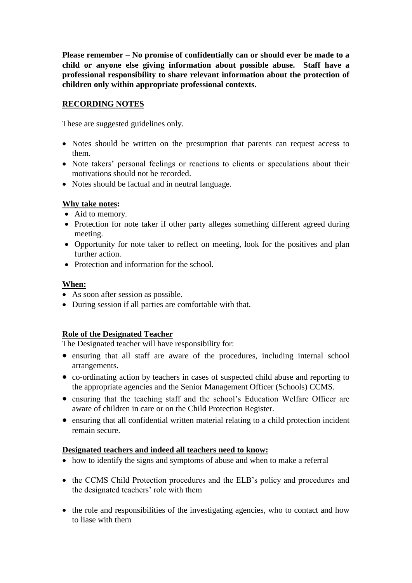**Please remember – No promise of confidentially can or should ever be made to a child or anyone else giving information about possible abuse. Staff have a professional responsibility to share relevant information about the protection of children only within appropriate professional contexts.**

#### **RECORDING NOTES**

These are suggested guidelines only.

- Notes should be written on the presumption that parents can request access to them.
- Note takers' personal feelings or reactions to clients or speculations about their motivations should not be recorded.
- Notes should be factual and in neutral language.

#### **Why take notes:**

- Aid to memory.
- Protection for note taker if other party alleges something different agreed during meeting.
- Opportunity for note taker to reflect on meeting, look for the positives and plan further action.
- Protection and information for the school.

#### **When:**

- As soon after session as possible.
- During session if all parties are comfortable with that.

#### **Role of the Designated Teacher**

The Designated teacher will have responsibility for:

- ensuring that all staff are aware of the procedures, including internal school arrangements.
- co-ordinating action by teachers in cases of suspected child abuse and reporting to the appropriate agencies and the Senior Management Officer (Schools) CCMS.
- ensuring that the teaching staff and the school's Education Welfare Officer are aware of children in care or on the Child Protection Register.
- ensuring that all confidential written material relating to a child protection incident remain secure.

#### **Designated teachers and indeed all teachers need to know:**

- how to identify the signs and symptoms of abuse and when to make a referral
- the CCMS Child Protection procedures and the ELB's policy and procedures and the designated teachers' role with them
- the role and responsibilities of the investigating agencies, who to contact and how to liase with them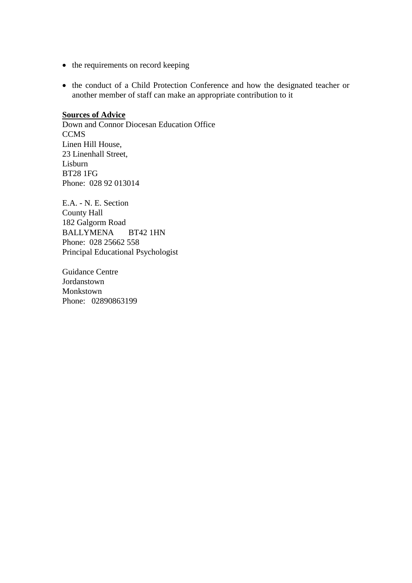- $\bullet$  the requirements on record keeping
- the conduct of a Child Protection Conference and how the designated teacher or another member of staff can make an appropriate contribution to it

#### **Sources of Advice**

Down and Connor Diocesan Education Office **CCMS** Linen Hill House, 23 Linenhall Street, Lisburn BT28 1FG Phone: 028 92 013014

E.A. - N. E. Section County Hall 182 Galgorm Road BALLYMENA BT42 1HN Phone: 028 25662 558 Principal Educational Psychologist

Guidance Centre Jordanstown Monkstown Phone: 02890863199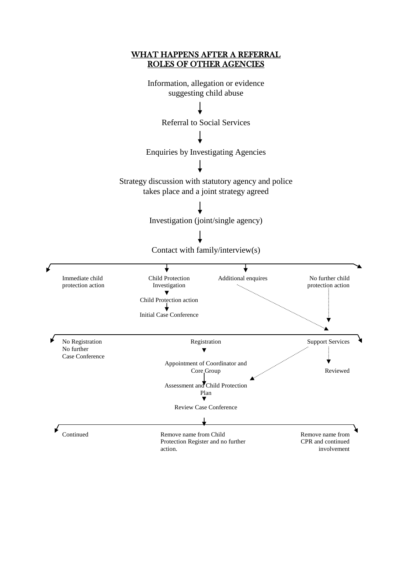